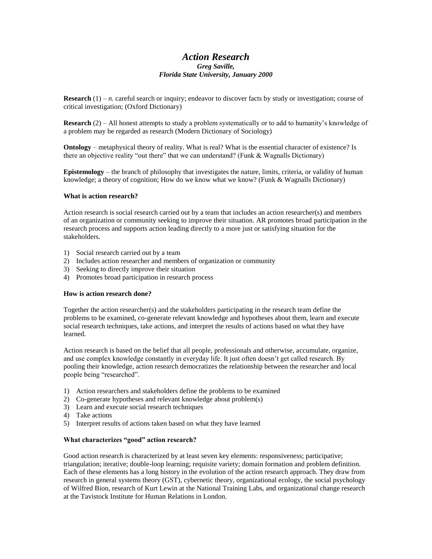# *Action Research Greg Saville, Florida State University, January 2000*

**Research** (1) – *n*. careful search or inquiry; endeavor to discover facts by study or investigation; course of critical investigation; (Oxford Dictionary)

**Research** (2) – All honest attempts to study a problem systematically or to add to humanity's knowledge of a problem may be regarded as research (Modern Dictionary of Sociology)

**Ontology** – metaphysical theory of reality. What is real? What is the essential character of existence? Is there an objective reality "out there" that we can understand? (Funk  $&$  Wagnalls Dictionary)

**Epistemology** – the branch of philosophy that investigates the nature, limits, criteria, or validity of human knowledge; a theory of cognition; How do we know what we know? (Funk & Wagnalls Dictionary)

### **What is action research?**

Action research is social research carried out by a team that includes an action researcher(s) and members of an organization or community seeking to improve their situation. AR promotes broad participation in the research process and supports action leading directly to a more just or satisfying situation for the stakeholders.

- 1) Social research carried out by a team
- 2) Includes action researcher and members of organization or community
- 3) Seeking to directly improve their situation
- 4) Promotes broad participation in research process

#### **How is action research done?**

Together the action researcher(s) and the stakeholders participating in the research team define the problems to be examined, co-generate relevant knowledge and hypotheses about them, learn and execute social research techniques, take actions, and interpret the results of actions based on what they have learned.

Action research is based on the belief that all people, professionals and otherwise, accumulate, organize, and use complex knowledge constantly in everyday life. It just often doesn't get called research. By pooling their knowledge, action research democratizes the relationship between the researcher and local people being "researched".

- 1) Action researchers and stakeholders define the problems to be examined
- 2) Co-generate hypotheses and relevant knowledge about problem(s)
- 3) Learn and execute social research techniques
- 4) Take actions
- 5) Interpret results of actions taken based on what they have learned

#### **What characterizes "good" action research?**

Good action research is characterized by at least seven key elements: responsiveness; participative; triangulation; iterative; double-loop learning; requisite variety; domain formation and problem definition. Each of these elements has a long history in the evolution of the action research approach. They draw from research in general systems theory (GST), cybernetic theory, organizational ecology, the social psychology of Wilfred Bion, research of Kurt Lewin at the National Training Labs, and organizational change research at the Tavistock Institute for Human Relations in London.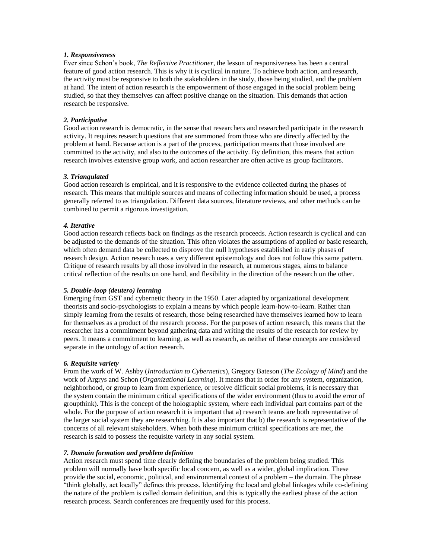### *1. Responsiveness*

Ever since Schon's book, *The Reflective Practitioner*, the lesson of responsiveness has been a central feature of good action research. This is why it is cyclical in nature. To achieve both action, and research, the activity must be responsive to both the stakeholders in the study, those being studied, and the problem at hand. The intent of action research is the empowerment of those engaged in the social problem being studied, so that they themselves can affect positive change on the situation. This demands that action research be responsive.

## *2. Participative*

Good action research is democratic, in the sense that researchers and researched participate in the research activity. It requires research questions that are summoned from those who are directly affected by the problem at hand. Because action is a part of the process, participation means that those involved are committed to the activity, and also to the outcomes of the activity. By definition, this means that action research involves extensive group work, and action researcher are often active as group facilitators.

### *3. Triangulated*

Good action research is empirical, and it is responsive to the evidence collected during the phases of research. This means that multiple sources and means of collecting information should be used, a process generally referred to as triangulation. Different data sources, literature reviews, and other methods can be combined to permit a rigorous investigation.

## *4. Iterative*

Good action research reflects back on findings as the research proceeds. Action research is cyclical and can be adjusted to the demands of the situation. This often violates the assumptions of applied or basic research, which often demand data be collected to disprove the null hypotheses established in early phases of research design. Action research uses a very different epistemology and does not follow this same pattern. Critique of research results by all those involved in the research, at numerous stages, aims to balance critical reflection of the results on one hand, and flexibility in the direction of the research on the other.

### *5. Double-loop (deutero) learning*

Emerging from GST and cybernetic theory in the 1950. Later adapted by organizational development theorists and socio-psychologists to explain a means by which people learn-how-to-learn. Rather than simply learning from the results of research, those being researched have themselves learned how to learn for themselves as a product of the research process. For the purposes of action research, this means that the researcher has a commitment beyond gathering data and writing the results of the research for review by peers. It means a commitment to learning, as well as research, as neither of these concepts are considered separate in the ontology of action research.

### *6. Requisite variety*

From the work of W. Ashby (*Introduction to Cybernetics*), Gregory Bateson (*The Ecology of Mind*) and the work of Argrys and Schon (*Organizational Learning*). It means that in order for any system, organization, neighborhood, or group to learn from experience, or resolve difficult social problems, it is necessary that the system contain the minimum critical specifications of the wider environment (thus to avoid the error of groupthink). This is the concept of the holographic system, where each individual part contains part of the whole. For the purpose of action research it is important that a) research teams are both representative of the larger social system they are researching. It is also important that b) the research is representative of the concerns of all relevant stakeholders. When both these minimum critical specifications are met, the research is said to possess the requisite variety in any social system.

# *7. Domain formation and problem definition*

Action research must spend time clearly defining the boundaries of the problem being studied. This problem will normally have both specific local concern, as well as a wider, global implication. These provide the social, economic, political, and environmental context of a problem – the domain. The phrase "think globally, act locally" defines this process. Identifying the local and global linkages while co-defining the nature of the problem is called domain definition, and this is typically the earliest phase of the action research process. Search conferences are frequently used for this process.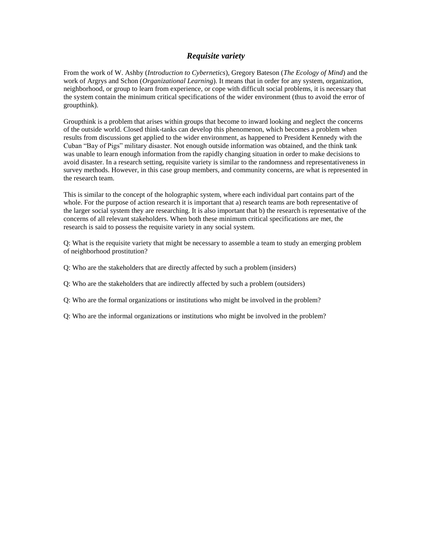# *Requisite variety*

From the work of W. Ashby (*Introduction to Cybernetics*), Gregory Bateson (*The Ecology of Mind*) and the work of Argrys and Schon (*Organizational Learning*). It means that in order for any system, organization, neighborhood, or group to learn from experience, or cope with difficult social problems, it is necessary that the system contain the minimum critical specifications of the wider environment (thus to avoid the error of groupthink).

Groupthink is a problem that arises within groups that become to inward looking and neglect the concerns of the outside world. Closed think-tanks can develop this phenomenon, which becomes a problem when results from discussions get applied to the wider environment, as happened to President Kennedy with the Cuban "Bay of Pigs" military disaster. Not enough outside information was obtained, and the think tank was unable to learn enough information from the rapidly changing situation in order to make decisions to avoid disaster. In a research setting, requisite variety is similar to the randomness and representativeness in survey methods. However, in this case group members, and community concerns, are what is represented in the research team.

This is similar to the concept of the holographic system, where each individual part contains part of the whole. For the purpose of action research it is important that a) research teams are both representative of the larger social system they are researching. It is also important that b) the research is representative of the concerns of all relevant stakeholders. When both these minimum critical specifications are met, the research is said to possess the requisite variety in any social system.

Q: What is the requisite variety that might be necessary to assemble a team to study an emerging problem of neighborhood prostitution?

- Q: Who are the stakeholders that are directly affected by such a problem (insiders)
- Q: Who are the stakeholders that are indirectly affected by such a problem (outsiders)
- Q: Who are the formal organizations or institutions who might be involved in the problem?
- Q: Who are the informal organizations or institutions who might be involved in the problem?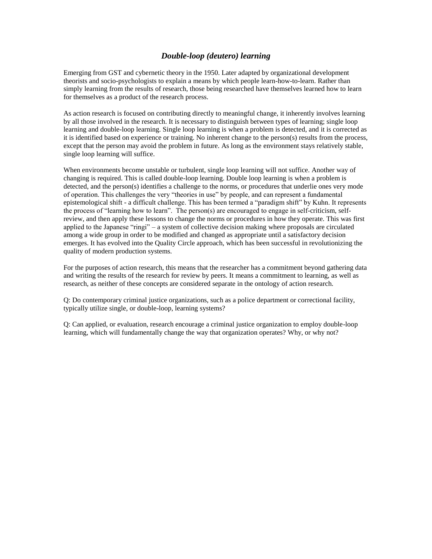# *Double-loop (deutero) learning*

Emerging from GST and cybernetic theory in the 1950. Later adapted by organizational development theorists and socio-psychologists to explain a means by which people learn-how-to-learn. Rather than simply learning from the results of research, those being researched have themselves learned how to learn for themselves as a product of the research process.

As action research is focused on contributing directly to meaningful change, it inherently involves learning by all those involved in the research. It is necessary to distinguish between types of learning; single loop learning and double-loop learning. Single loop learning is when a problem is detected, and it is corrected as it is identified based on experience or training. No inherent change to the person(s) results from the process, except that the person may avoid the problem in future. As long as the environment stays relatively stable, single loop learning will suffice.

When environments become unstable or turbulent, single loop learning will not suffice. Another way of changing is required. This is called double-loop learning. Double loop learning is when a problem is detected, and the person(s) identifies a challenge to the norms, or procedures that underlie ones very mode of operation. This challenges the very "theories in use" by people, and can represent a fundamental epistemological shift - a difficult challenge. This has been termed a "paradigm shift" by Kuhn. It represents the process of "learning how to learn". The person(s) are encouraged to engage in self-criticism, selfreview, and then apply these lessons to change the norms or procedures in how they operate. This was first applied to the Japanese "ringi" – a system of collective decision making where proposals are circulated among a wide group in order to be modified and changed as appropriate until a satisfactory decision emerges. It has evolved into the Quality Circle approach, which has been successful in revolutionizing the quality of modern production systems.

For the purposes of action research, this means that the researcher has a commitment beyond gathering data and writing the results of the research for review by peers. It means a commitment to learning, as well as research, as neither of these concepts are considered separate in the ontology of action research.

Q: Do contemporary criminal justice organizations, such as a police department or correctional facility, typically utilize single, or double-loop, learning systems?

Q: Can applied, or evaluation, research encourage a criminal justice organization to employ double-loop learning, which will fundamentally change the way that organization operates? Why, or why not?